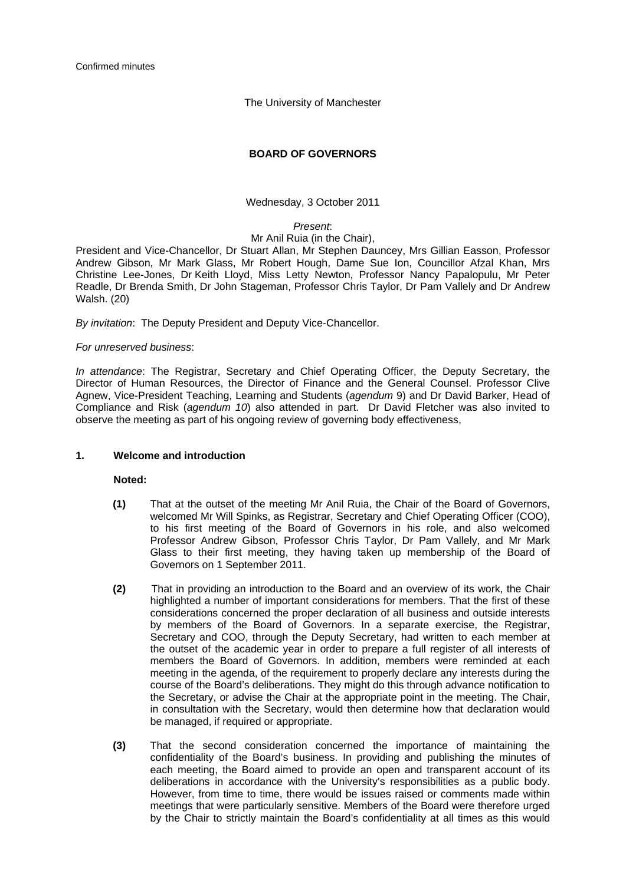The University of Manchester

# **BOARD OF GOVERNORS**

Wednesday, 3 October 2011

# *Present*:

# Mr Anil Ruia (in the Chair),

President and Vice-Chancellor, Dr Stuart Allan, Mr Stephen Dauncey, Mrs Gillian Easson, Professor Andrew Gibson, Mr Mark Glass, Mr Robert Hough, Dame Sue Ion, Councillor Afzal Khan, Mrs Christine Lee-Jones, Dr Keith Lloyd, Miss Letty Newton, Professor Nancy Papalopulu, Mr Peter Readle, Dr Brenda Smith, Dr John Stageman, Professor Chris Taylor, Dr Pam Vallely and Dr Andrew Walsh. (20)

*By invitation*: The Deputy President and Deputy Vice-Chancellor.

# *For unreserved business*:

*In attendance*: The Registrar, Secretary and Chief Operating Officer, the Deputy Secretary, the Director of Human Resources, the Director of Finance and the General Counsel. Professor Clive Agnew, Vice-President Teaching, Learning and Students (*agendum* 9) and Dr David Barker, Head of Compliance and Risk (*agendum 10*) also attended in part. Dr David Fletcher was also invited to observe the meeting as part of his ongoing review of governing body effectiveness,

### **1. Welcome and introduction**

# **Noted:**

- **(1)** That at the outset of the meeting Mr Anil Ruia, the Chair of the Board of Governors, welcomed Mr Will Spinks, as Registrar, Secretary and Chief Operating Officer (COO), to his first meeting of the Board of Governors in his role, and also welcomed Professor Andrew Gibson, Professor Chris Taylor, Dr Pam Vallely, and Mr Mark Glass to their first meeting, they having taken up membership of the Board of Governors on 1 September 2011.
- **(2)** That in providing an introduction to the Board and an overview of its work, the Chair highlighted a number of important considerations for members. That the first of these considerations concerned the proper declaration of all business and outside interests by members of the Board of Governors. In a separate exercise, the Registrar, Secretary and COO, through the Deputy Secretary, had written to each member at the outset of the academic year in order to prepare a full register of all interests of members the Board of Governors. In addition, members were reminded at each meeting in the agenda, of the requirement to properly declare any interests during the course of the Board's deliberations. They might do this through advance notification to the Secretary, or advise the Chair at the appropriate point in the meeting. The Chair, in consultation with the Secretary, would then determine how that declaration would be managed, if required or appropriate.
- **(3)** That the second consideration concerned the importance of maintaining the confidentiality of the Board's business. In providing and publishing the minutes of each meeting, the Board aimed to provide an open and transparent account of its deliberations in accordance with the University's responsibilities as a public body. However, from time to time, there would be issues raised or comments made within meetings that were particularly sensitive. Members of the Board were therefore urged by the Chair to strictly maintain the Board's confidentiality at all times as this would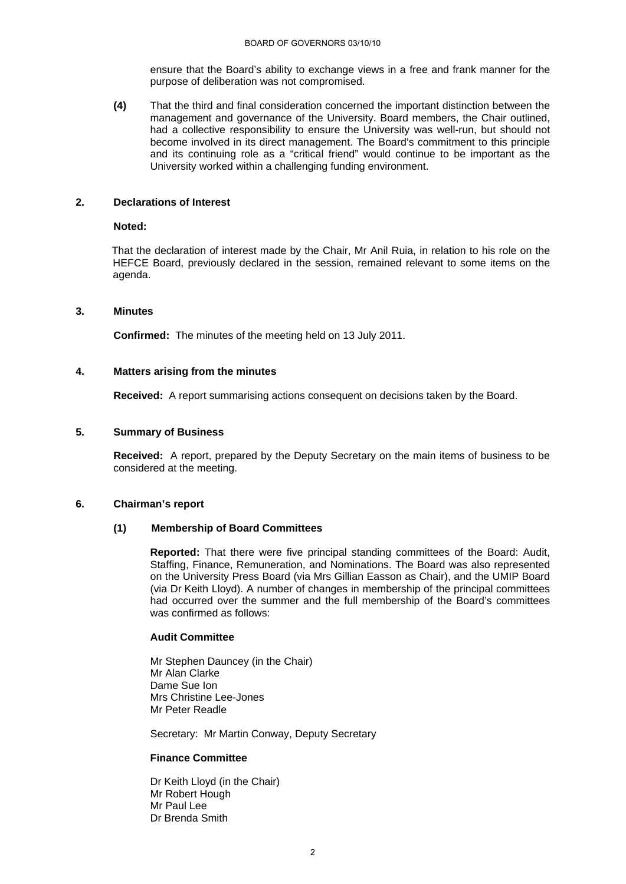ensure that the Board's ability to exchange views in a free and frank manner for the purpose of deliberation was not compromised.

**(4)** That the third and final consideration concerned the important distinction between the management and governance of the University. Board members, the Chair outlined, had a collective responsibility to ensure the University was well-run, but should not become involved in its direct management. The Board's commitment to this principle and its continuing role as a "critical friend" would continue to be important as the University worked within a challenging funding environment.

### **2. Declarations of Interest**

#### **Noted:**

That the declaration of interest made by the Chair, Mr Anil Ruia, in relation to his role on the HEFCE Board, previously declared in the session, remained relevant to some items on the agenda.

# **3. Minutes**

**Confirmed:** The minutes of the meeting held on 13 July 2011.

### **4. Matters arising from the minutes**

 **Received:** A report summarising actions consequent on decisions taken by the Board.

#### **5. Summary of Business**

**Received:** A report, prepared by the Deputy Secretary on the main items of business to be considered at the meeting.

### **6. Chairman's report**

### **(1) Membership of Board Committees**

**Reported:** That there were five principal standing committees of the Board: Audit, Staffing, Finance, Remuneration, and Nominations. The Board was also represented on the University Press Board (via Mrs Gillian Easson as Chair), and the UMIP Board (via Dr Keith Lloyd). A number of changes in membership of the principal committees had occurred over the summer and the full membership of the Board's committees was confirmed as follows:

# **Audit Committee**

Mr Stephen Dauncey (in the Chair) Mr Alan Clarke Dame Sue Ion Mrs Christine Lee-Jones Mr Peter Readle

Secretary: Mr Martin Conway, Deputy Secretary

#### **Finance Committee**

Dr Keith Lloyd (in the Chair) Mr Robert Hough Mr Paul Lee Dr Brenda Smith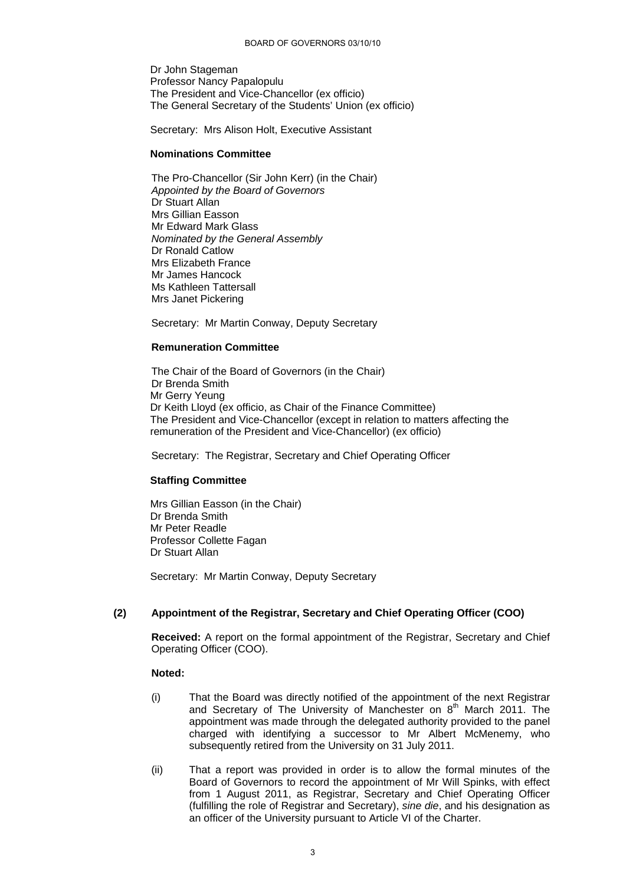Dr John Stageman Professor Nancy Papalopulu The President and Vice-Chancellor (ex officio) The General Secretary of the Students' Union (ex officio)

Secretary: Mrs Alison Holt, Executive Assistant

### **Nominations Committee**

 The Pro-Chancellor (Sir John Kerr) (in the Chair) *Appointed by the Board of Governors*  Dr Stuart Allan Mrs Gillian Easson Mr Edward Mark Glass *Nominated by the General Assembly*  Dr Ronald Catlow Mrs Elizabeth France Mr James Hancock Ms Kathleen Tattersall Mrs Janet Pickering

Secretary: Mr Martin Conway, Deputy Secretary

### **Remuneration Committee**

 The Chair of the Board of Governors (in the Chair) Dr Brenda Smith Mr Gerry Yeung Dr Keith Lloyd (ex officio, as Chair of the Finance Committee) The President and Vice-Chancellor (except in relation to matters affecting the remuneration of the President and Vice-Chancellor) (ex officio)

Secretary: The Registrar, Secretary and Chief Operating Officer

### **Staffing Committee**

Mrs Gillian Easson (in the Chair) Dr Brenda Smith Mr Peter Readle Professor Collette Fagan Dr Stuart Allan

Secretary: Mr Martin Conway, Deputy Secretary

### **(2) Appointment of the Registrar, Secretary and Chief Operating Officer (COO)**

**Received:** A report on the formal appointment of the Registrar, Secretary and Chief Operating Officer (COO).

### **Noted:**

- (i) That the Board was directly notified of the appointment of the next Registrar and Secretary of The University of Manchester on  $8<sup>th</sup>$  March 2011. The appointment was made through the delegated authority provided to the panel charged with identifying a successor to Mr Albert McMenemy, who subsequently retired from the University on 31 July 2011.
- (ii) That a report was provided in order is to allow the formal minutes of the Board of Governors to record the appointment of Mr Will Spinks, with effect from 1 August 2011, as Registrar, Secretary and Chief Operating Officer (fulfilling the role of Registrar and Secretary), *sine die*, and his designation as an officer of the University pursuant to Article VI of the Charter.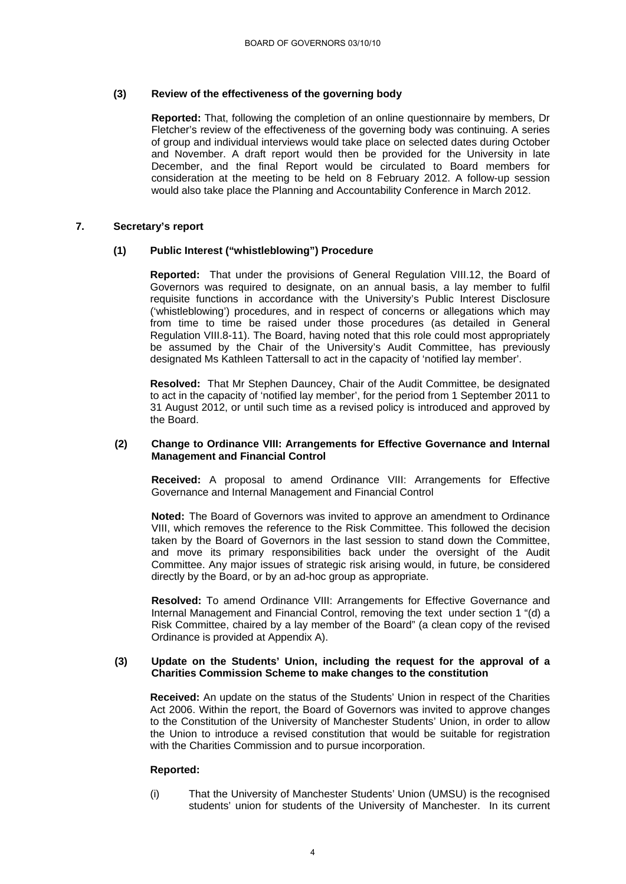# **(3) Review of the effectiveness of the governing body**

**Reported:** That, following the completion of an online questionnaire by members, Dr Fletcher's review of the effectiveness of the governing body was continuing. A series of group and individual interviews would take place on selected dates during October and November. A draft report would then be provided for the University in late December, and the final Report would be circulated to Board members for consideration at the meeting to be held on 8 February 2012. A follow-up session would also take place the Planning and Accountability Conference in March 2012.

# **7. Secretary's report**

# **(1) Public Interest ("whistleblowing") Procedure**

**Reported:** That under the provisions of General Regulation VIII.12, the Board of Governors was required to designate, on an annual basis, a lay member to fulfil requisite functions in accordance with the University's Public Interest Disclosure ('whistleblowing') procedures, and in respect of concerns or allegations which may from time to time be raised under those procedures (as detailed in General Regulation VIII.8-11). The Board, having noted that this role could most appropriately be assumed by the Chair of the University's Audit Committee, has previously designated Ms Kathleen Tattersall to act in the capacity of 'notified lay member'.

**Resolved:** That Mr Stephen Dauncey, Chair of the Audit Committee, be designated to act in the capacity of 'notified lay member', for the period from 1 September 2011 to 31 August 2012, or until such time as a revised policy is introduced and approved by the Board.

#### **(2) Change to Ordinance VIII: Arrangements for Effective Governance and Internal Management and Financial Control**

**Received:** A proposal to amend Ordinance VIII: Arrangements for Effective Governance and Internal Management and Financial Control

**Noted:** The Board of Governors was invited to approve an amendment to Ordinance VIII, which removes the reference to the Risk Committee. This followed the decision taken by the Board of Governors in the last session to stand down the Committee, and move its primary responsibilities back under the oversight of the Audit Committee. Any major issues of strategic risk arising would, in future, be considered directly by the Board, or by an ad-hoc group as appropriate.

**Resolved:** To amend Ordinance VIII: Arrangements for Effective Governance and Internal Management and Financial Control, removing the text under section 1 "(d) a Risk Committee, chaired by a lay member of the Board" (a clean copy of the revised Ordinance is provided at Appendix A).

### **(3) Update on the Students' Union, including the request for the approval of a Charities Commission Scheme to make changes to the constitution**

**Received:** An update on the status of the Students' Union in respect of the Charities Act 2006. Within the report, the Board of Governors was invited to approve changes to the Constitution of the University of Manchester Students' Union, in order to allow the Union to introduce a revised constitution that would be suitable for registration with the Charities Commission and to pursue incorporation.

### **Reported:**

(i) That the University of Manchester Students' Union (UMSU) is the recognised students' union for students of the University of Manchester. In its current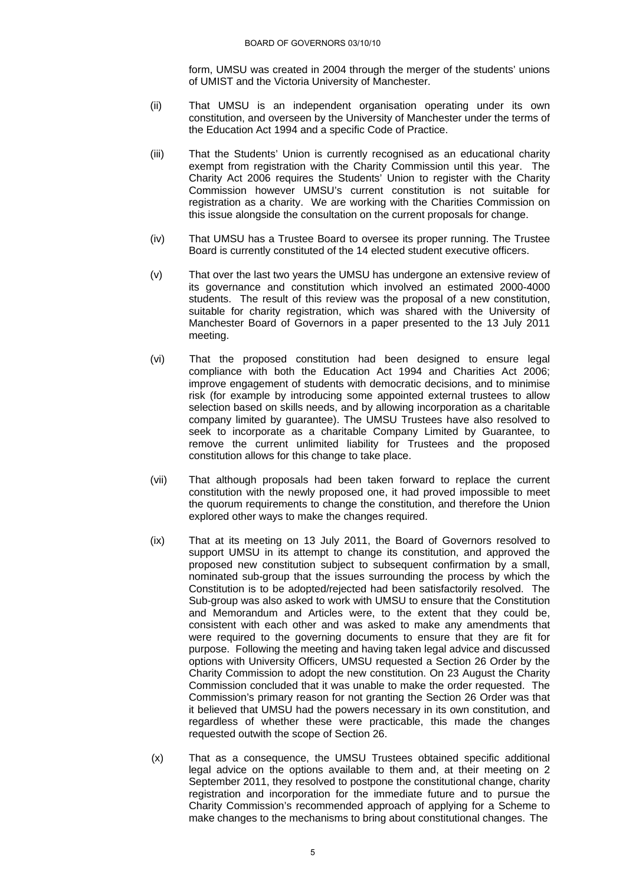form, UMSU was created in 2004 through the merger of the students' unions of UMIST and the Victoria University of Manchester.

- (ii) That UMSU is an independent organisation operating under its own constitution, and overseen by the University of Manchester under the terms of the Education Act 1994 and a specific Code of Practice.
- (iii) That the Students' Union is currently recognised as an educational charity exempt from registration with the Charity Commission until this year. The Charity Act 2006 requires the Students' Union to register with the Charity Commission however UMSU's current constitution is not suitable for registration as a charity. We are working with the Charities Commission on this issue alongside the consultation on the current proposals for change.
- (iv) That UMSU has a Trustee Board to oversee its proper running. The Trustee Board is currently constituted of the 14 elected student executive officers.
- (v) That over the last two years the UMSU has undergone an extensive review of its governance and constitution which involved an estimated 2000-4000 students. The result of this review was the proposal of a new constitution, suitable for charity registration, which was shared with the University of Manchester Board of Governors in a paper presented to the 13 July 2011 meeting.
- (vi) That the proposed constitution had been designed to ensure legal compliance with both the Education Act 1994 and Charities Act 2006; improve engagement of students with democratic decisions, and to minimise risk (for example by introducing some appointed external trustees to allow selection based on skills needs, and by allowing incorporation as a charitable company limited by guarantee). The UMSU Trustees have also resolved to seek to incorporate as a charitable Company Limited by Guarantee, to remove the current unlimited liability for Trustees and the proposed constitution allows for this change to take place.
- (vii) That although proposals had been taken forward to replace the current constitution with the newly proposed one, it had proved impossible to meet the quorum requirements to change the constitution, and therefore the Union explored other ways to make the changes required.
- (ix) That at its meeting on 13 July 2011, the Board of Governors resolved to support UMSU in its attempt to change its constitution, and approved the proposed new constitution subject to subsequent confirmation by a small, nominated sub-group that the issues surrounding the process by which the Constitution is to be adopted/rejected had been satisfactorily resolved. The Sub-group was also asked to work with UMSU to ensure that the Constitution and Memorandum and Articles were, to the extent that they could be, consistent with each other and was asked to make any amendments that were required to the governing documents to ensure that they are fit for purpose. Following the meeting and having taken legal advice and discussed options with University Officers, UMSU requested a Section 26 Order by the Charity Commission to adopt the new constitution. On 23 August the Charity Commission concluded that it was unable to make the order requested. The Commission's primary reason for not granting the Section 26 Order was that it believed that UMSU had the powers necessary in its own constitution, and regardless of whether these were practicable, this made the changes requested outwith the scope of Section 26.
- (x) That as a consequence, the UMSU Trustees obtained specific additional legal advice on the options available to them and, at their meeting on 2 September 2011, they resolved to postpone the constitutional change, charity registration and incorporation for the immediate future and to pursue the Charity Commission's recommended approach of applying for a Scheme to make changes to the mechanisms to bring about constitutional changes. The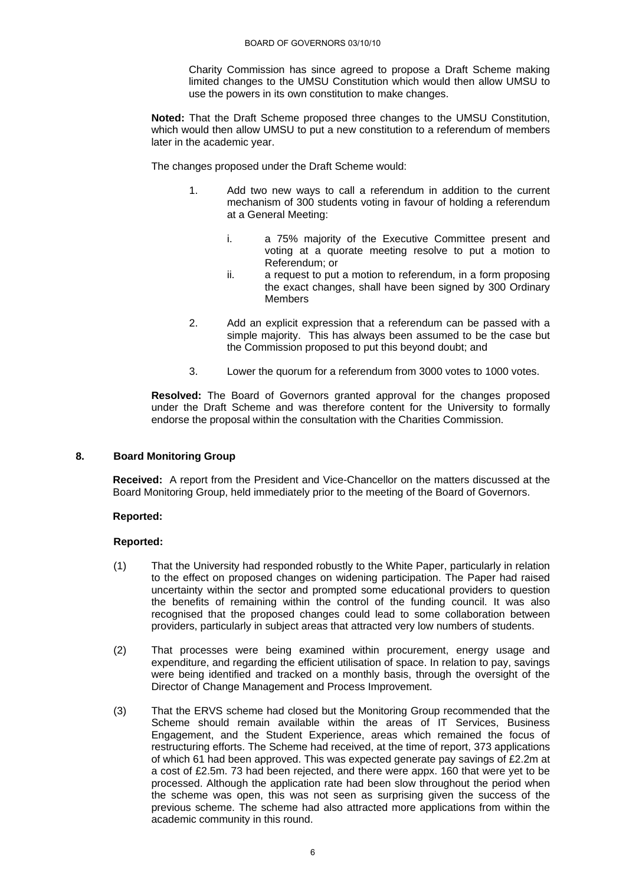Charity Commission has since agreed to propose a Draft Scheme making limited changes to the UMSU Constitution which would then allow UMSU to use the powers in its own constitution to make changes.

**Noted:** That the Draft Scheme proposed three changes to the UMSU Constitution, which would then allow UMSU to put a new constitution to a referendum of members later in the academic year.

The changes proposed under the Draft Scheme would:

- 1. Add two new ways to call a referendum in addition to the current mechanism of 300 students voting in favour of holding a referendum at a General Meeting:
	- i. a 75% majority of the Executive Committee present and voting at a quorate meeting resolve to put a motion to Referendum; or
	- ii. a request to put a motion to referendum, in a form proposing the exact changes, shall have been signed by 300 Ordinary **Members**
- 2. Add an explicit expression that a referendum can be passed with a simple majority. This has always been assumed to be the case but the Commission proposed to put this beyond doubt; and
- 3. Lower the quorum for a referendum from 3000 votes to 1000 votes.

**Resolved:** The Board of Governors granted approval for the changes proposed under the Draft Scheme and was therefore content for the University to formally endorse the proposal within the consultation with the Charities Commission.

# **8. Board Monitoring Group**

 **Received:** A report from the President and Vice-Chancellor on the matters discussed at the Board Monitoring Group, held immediately prior to the meeting of the Board of Governors.

### **Reported:**

- (1) That the University had responded robustly to the White Paper, particularly in relation to the effect on proposed changes on widening participation. The Paper had raised uncertainty within the sector and prompted some educational providers to question the benefits of remaining within the control of the funding council. It was also recognised that the proposed changes could lead to some collaboration between providers, particularly in subject areas that attracted very low numbers of students.
- (2) That processes were being examined within procurement, energy usage and expenditure, and regarding the efficient utilisation of space. In relation to pay, savings were being identified and tracked on a monthly basis, through the oversight of the Director of Change Management and Process Improvement.
- (3) That the ERVS scheme had closed but the Monitoring Group recommended that the Scheme should remain available within the areas of IT Services, Business Engagement, and the Student Experience, areas which remained the focus of restructuring efforts. The Scheme had received, at the time of report, 373 applications of which 61 had been approved. This was expected generate pay savings of £2.2m at a cost of £2.5m. 73 had been rejected, and there were appx. 160 that were yet to be processed. Although the application rate had been slow throughout the period when the scheme was open, this was not seen as surprising given the success of the previous scheme. The scheme had also attracted more applications from within the academic community in this round.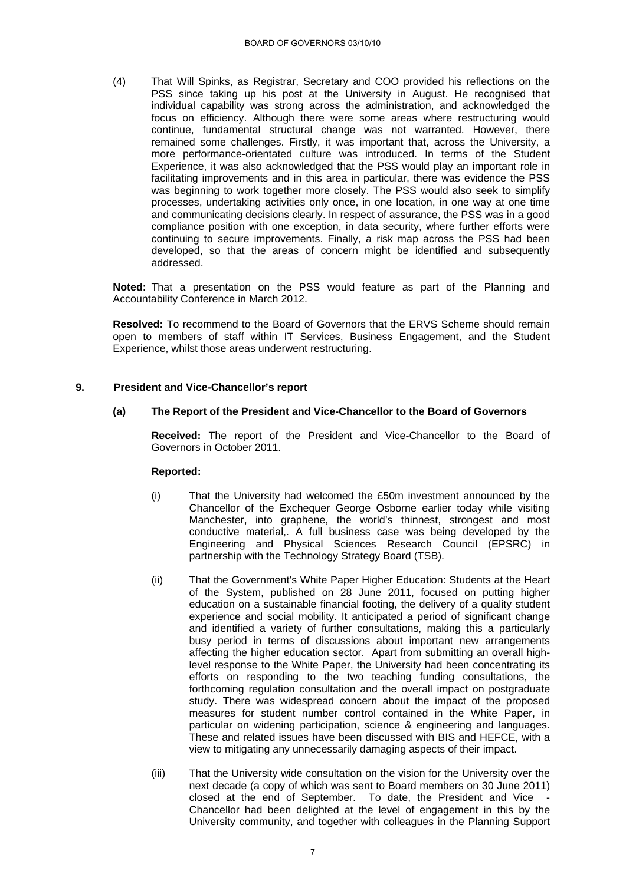(4) That Will Spinks, as Registrar, Secretary and COO provided his reflections on the PSS since taking up his post at the University in August. He recognised that individual capability was strong across the administration, and acknowledged the focus on efficiency. Although there were some areas where restructuring would continue, fundamental structural change was not warranted. However, there remained some challenges. Firstly, it was important that, across the University, a more performance-orientated culture was introduced. In terms of the Student Experience, it was also acknowledged that the PSS would play an important role in facilitating improvements and in this area in particular, there was evidence the PSS was beginning to work together more closely. The PSS would also seek to simplify processes, undertaking activities only once, in one location, in one way at one time and communicating decisions clearly. In respect of assurance, the PSS was in a good compliance position with one exception, in data security, where further efforts were continuing to secure improvements. Finally, a risk map across the PSS had been developed, so that the areas of concern might be identified and subsequently addressed.

**Noted:** That a presentation on the PSS would feature as part of the Planning and Accountability Conference in March 2012.

 **Resolved:** To recommend to the Board of Governors that the ERVS Scheme should remain open to members of staff within IT Services, Business Engagement, and the Student Experience, whilst those areas underwent restructuring.

# **9. President and Vice-Chancellor's report**

# **(a) The Report of the President and Vice-Chancellor to the Board of Governors**

 **Received:** The report of the President and Vice-Chancellor to the Board of Governors in October 2011.

- (i) That the University had welcomed the £50m investment announced by the Chancellor of the Exchequer George Osborne earlier today while visiting Manchester, into graphene, the world's thinnest, strongest and most conductive material,. A full business case was being developed by the Engineering and Physical Sciences Research Council (EPSRC) in partnership with the Technology Strategy Board (TSB).
- (ii) That the Government's White Paper Higher Education: Students at the Heart of the System, published on 28 June 2011, focused on putting higher education on a sustainable financial footing, the delivery of a quality student experience and social mobility. It anticipated a period of significant change and identified a variety of further consultations, making this a particularly busy period in terms of discussions about important new arrangements affecting the higher education sector. Apart from submitting an overall highlevel response to the White Paper, the University had been concentrating its efforts on responding to the two teaching funding consultations, the forthcoming regulation consultation and the overall impact on postgraduate study. There was widespread concern about the impact of the proposed measures for student number control contained in the White Paper, in particular on widening participation, science & engineering and languages. These and related issues have been discussed with BIS and HEFCE, with a view to mitigating any unnecessarily damaging aspects of their impact.
- (iii) That the University wide consultation on the vision for the University over the next decade (a copy of which was sent to Board members on 30 June 2011) closed at the end of September. To date, the President and Vice - Chancellor had been delighted at the level of engagement in this by the University community, and together with colleagues in the Planning Support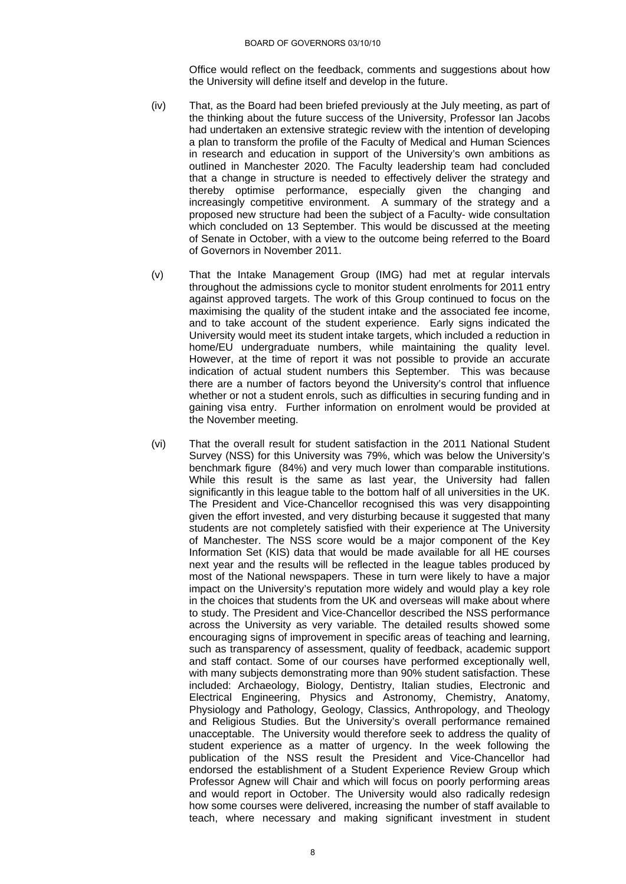Office would reflect on the feedback, comments and suggestions about how the University will define itself and develop in the future.

- (iv) That, as the Board had been briefed previously at the July meeting, as part of the thinking about the future success of the University, Professor Ian Jacobs had undertaken an extensive strategic review with the intention of developing a plan to transform the profile of the Faculty of Medical and Human Sciences in research and education in support of the University's own ambitions as outlined in Manchester 2020. The Faculty leadership team had concluded that a change in structure is needed to effectively deliver the strategy and thereby optimise performance, especially given the changing and increasingly competitive environment. A summary of the strategy and a proposed new structure had been the subject of a Faculty- wide consultation which concluded on 13 September. This would be discussed at the meeting of Senate in October, with a view to the outcome being referred to the Board of Governors in November 2011.
- (v) That the Intake Management Group (IMG) had met at regular intervals throughout the admissions cycle to monitor student enrolments for 2011 entry against approved targets. The work of this Group continued to focus on the maximising the quality of the student intake and the associated fee income, and to take account of the student experience. Early signs indicated the University would meet its student intake targets, which included a reduction in home/EU undergraduate numbers, while maintaining the quality level. However, at the time of report it was not possible to provide an accurate indication of actual student numbers this September. This was because there are a number of factors beyond the University's control that influence whether or not a student enrols, such as difficulties in securing funding and in gaining visa entry. Further information on enrolment would be provided at the November meeting.
- (vi) That the overall result for student satisfaction in the 2011 National Student Survey (NSS) for this University was 79%, which was below the University's benchmark figure (84%) and very much lower than comparable institutions. While this result is the same as last year, the University had fallen significantly in this league table to the bottom half of all universities in the UK. The President and Vice-Chancellor recognised this was very disappointing given the effort invested, and very disturbing because it suggested that many students are not completely satisfied with their experience at The University of Manchester. The NSS score would be a major component of the Key Information Set (KIS) data that would be made available for all HE courses next year and the results will be reflected in the league tables produced by most of the National newspapers. These in turn were likely to have a major impact on the University's reputation more widely and would play a key role in the choices that students from the UK and overseas will make about where to study. The President and Vice-Chancellor described the NSS performance across the University as very variable. The detailed results showed some encouraging signs of improvement in specific areas of teaching and learning, such as transparency of assessment, quality of feedback, academic support and staff contact. Some of our courses have performed exceptionally well, with many subjects demonstrating more than 90% student satisfaction. These included: Archaeology, Biology, Dentistry, Italian studies, Electronic and Electrical Engineering, Physics and Astronomy, Chemistry, Anatomy, Physiology and Pathology, Geology, Classics, Anthropology, and Theology and Religious Studies. But the University's overall performance remained unacceptable. The University would therefore seek to address the quality of student experience as a matter of urgency. In the week following the publication of the NSS result the President and Vice-Chancellor had endorsed the establishment of a Student Experience Review Group which Professor Agnew will Chair and which will focus on poorly performing areas and would report in October. The University would also radically redesign how some courses were delivered, increasing the number of staff available to teach, where necessary and making significant investment in student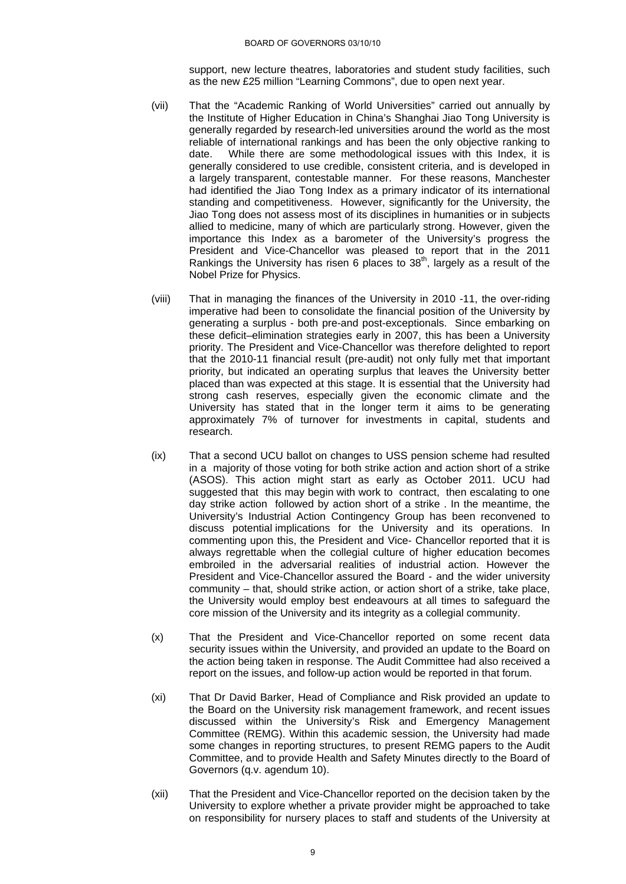support, new lecture theatres, laboratories and student study facilities, such as the new £25 million "Learning Commons", due to open next year.

- (vii) That the "Academic Ranking of World Universities" carried out annually by the Institute of Higher Education in China's Shanghai Jiao Tong University is generally regarded by research-led universities around the world as the most reliable of international rankings and has been the only objective ranking to date. While there are some methodological issues with this Index, it is generally considered to use credible, consistent criteria, and is developed in a largely transparent, contestable manner. For these reasons, Manchester had identified the Jiao Tong Index as a primary indicator of its international standing and competitiveness. However, significantly for the University, the Jiao Tong does not assess most of its disciplines in humanities or in subjects allied to medicine, many of which are particularly strong. However, given the importance this Index as a barometer of the University's progress the President and Vice-Chancellor was pleased to report that in the 2011 Rankings the University has risen 6 places to  $38<sup>th</sup>$ , largely as a result of the Nobel Prize for Physics.
- (viii) That in managing the finances of the University in 2010 -11, the over-riding imperative had been to consolidate the financial position of the University by generating a surplus - both pre-and post-exceptionals. Since embarking on these deficit–elimination strategies early in 2007, this has been a University priority. The President and Vice-Chancellor was therefore delighted to report that the 2010-11 financial result (pre-audit) not only fully met that important priority, but indicated an operating surplus that leaves the University better placed than was expected at this stage. It is essential that the University had strong cash reserves, especially given the economic climate and the University has stated that in the longer term it aims to be generating approximately 7% of turnover for investments in capital, students and research.
- (ix) That a second UCU ballot on changes to USS pension scheme had resulted in a majority of those voting for both strike action and action short of a strike (ASOS). This action might start as early as October 2011. UCU had suggested that this may begin with work to contract, then escalating to one day strike action followed by action short of a strike . In the meantime, the University's Industrial Action Contingency Group has been reconvened to discuss potential implications for the University and its operations. In commenting upon this, the President and Vice- Chancellor reported that it is always regrettable when the collegial culture of higher education becomes embroiled in the adversarial realities of industrial action. However the President and Vice-Chancellor assured the Board - and the wider university community – that, should strike action, or action short of a strike, take place, the University would employ best endeavours at all times to safeguard the core mission of the University and its integrity as a collegial community.
- (x) That the President and Vice-Chancellor reported on some recent data security issues within the University, and provided an update to the Board on the action being taken in response. The Audit Committee had also received a report on the issues, and follow-up action would be reported in that forum.
- (xi) That Dr David Barker, Head of Compliance and Risk provided an update to the Board on the University risk management framework, and recent issues discussed within the University's Risk and Emergency Management Committee (REMG). Within this academic session, the University had made some changes in reporting structures, to present REMG papers to the Audit Committee, and to provide Health and Safety Minutes directly to the Board of Governors (q.v. agendum 10).
- (xii) That the President and Vice-Chancellor reported on the decision taken by the University to explore whether a private provider might be approached to take on responsibility for nursery places to staff and students of the University at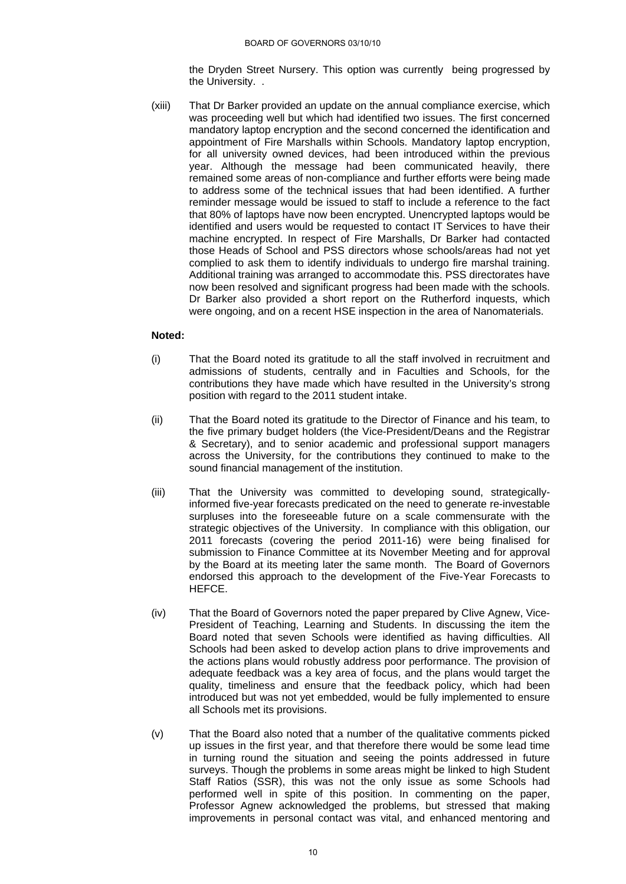the Dryden Street Nursery. This option was currently being progressed by the University. .

(xiii) That Dr Barker provided an update on the annual compliance exercise, which was proceeding well but which had identified two issues. The first concerned mandatory laptop encryption and the second concerned the identification and appointment of Fire Marshalls within Schools. Mandatory laptop encryption, for all university owned devices, had been introduced within the previous year. Although the message had been communicated heavily, there remained some areas of non-compliance and further efforts were being made to address some of the technical issues that had been identified. A further reminder message would be issued to staff to include a reference to the fact that 80% of laptops have now been encrypted. Unencrypted laptops would be identified and users would be requested to contact IT Services to have their machine encrypted. In respect of Fire Marshalls, Dr Barker had contacted those Heads of School and PSS directors whose schools/areas had not yet complied to ask them to identify individuals to undergo fire marshal training. Additional training was arranged to accommodate this. PSS directorates have now been resolved and significant progress had been made with the schools. Dr Barker also provided a short report on the Rutherford inquests, which were ongoing, and on a recent HSE inspection in the area of Nanomaterials.

# **Noted:**

- (i) That the Board noted its gratitude to all the staff involved in recruitment and admissions of students, centrally and in Faculties and Schools, for the contributions they have made which have resulted in the University's strong position with regard to the 2011 student intake.
- (ii) That the Board noted its gratitude to the Director of Finance and his team, to the five primary budget holders (the Vice-President/Deans and the Registrar & Secretary), and to senior academic and professional support managers across the University, for the contributions they continued to make to the sound financial management of the institution.
- (iii) That the University was committed to developing sound, strategicallyinformed five-year forecasts predicated on the need to generate re-investable surpluses into the foreseeable future on a scale commensurate with the strategic objectives of the University. In compliance with this obligation, our 2011 forecasts (covering the period 2011-16) were being finalised for submission to Finance Committee at its November Meeting and for approval by the Board at its meeting later the same month. The Board of Governors endorsed this approach to the development of the Five-Year Forecasts to HEFCE.
- (iv) That the Board of Governors noted the paper prepared by Clive Agnew, Vice-President of Teaching, Learning and Students. In discussing the item the Board noted that seven Schools were identified as having difficulties. All Schools had been asked to develop action plans to drive improvements and the actions plans would robustly address poor performance. The provision of adequate feedback was a key area of focus, and the plans would target the quality, timeliness and ensure that the feedback policy, which had been introduced but was not yet embedded, would be fully implemented to ensure all Schools met its provisions.
- (v) That the Board also noted that a number of the qualitative comments picked up issues in the first year, and that therefore there would be some lead time in turning round the situation and seeing the points addressed in future surveys. Though the problems in some areas might be linked to high Student Staff Ratios (SSR), this was not the only issue as some Schools had performed well in spite of this position. In commenting on the paper, Professor Agnew acknowledged the problems, but stressed that making improvements in personal contact was vital, and enhanced mentoring and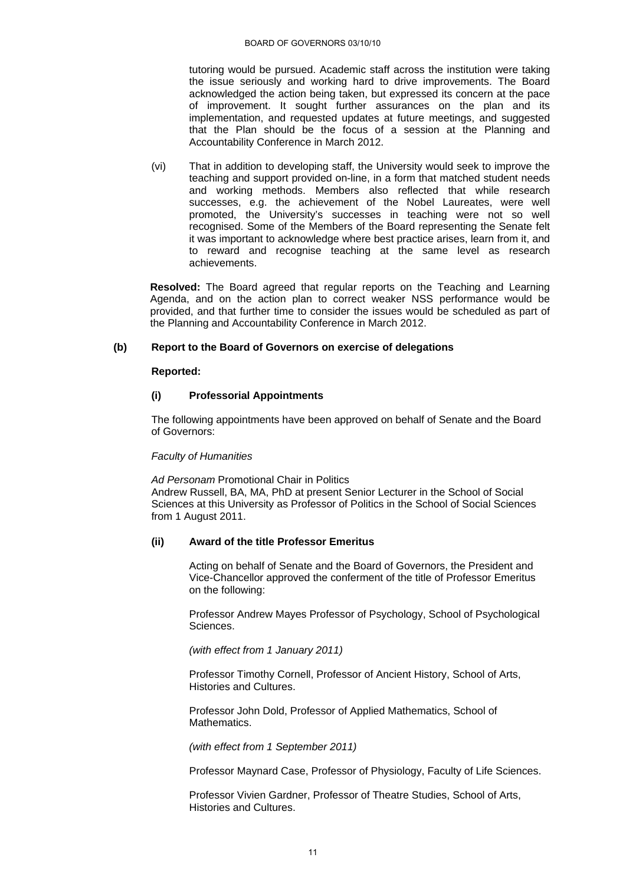tutoring would be pursued. Academic staff across the institution were taking the issue seriously and working hard to drive improvements. The Board acknowledged the action being taken, but expressed its concern at the pace of improvement. It sought further assurances on the plan and its implementation, and requested updates at future meetings, and suggested that the Plan should be the focus of a session at the Planning and Accountability Conference in March 2012.

(vi) That in addition to developing staff, the University would seek to improve the teaching and support provided on-line, in a form that matched student needs and working methods. Members also reflected that while research successes, e.g. the achievement of the Nobel Laureates, were well promoted, the University's successes in teaching were not so well recognised. Some of the Members of the Board representing the Senate felt it was important to acknowledge where best practice arises, learn from it, and to reward and recognise teaching at the same level as research achievements.

 **Resolved:** The Board agreed that regular reports on the Teaching and Learning Agenda, and on the action plan to correct weaker NSS performance would be provided, and that further time to consider the issues would be scheduled as part of the Planning and Accountability Conference in March 2012.

# **(b) Report to the Board of Governors on exercise of delegations**

### **Reported:**

# **(i) Professorial Appointments**

The following appointments have been approved on behalf of Senate and the Board of Governors:

### *Faculty of Humanities*

*Ad Personam* Promotional Chair in Politics Andrew Russell, BA, MA, PhD at present Senior Lecturer in the School of Social Sciences at this University as Professor of Politics in the School of Social Sciences from 1 August 2011.

# **(ii) Award of the title Professor Emeritus**

Acting on behalf of Senate and the Board of Governors, the President and Vice-Chancellor approved the conferment of the title of Professor Emeritus on the following:

Professor Andrew Mayes Professor of Psychology, School of Psychological Sciences.

*(with effect from 1 January 2011)* 

Professor Timothy Cornell, Professor of Ancient History, School of Arts, Histories and Cultures.

Professor John Dold, Professor of Applied Mathematics, School of Mathematics.

*(with effect from 1 September 2011)* 

Professor Maynard Case, Professor of Physiology, Faculty of Life Sciences.

Professor Vivien Gardner, Professor of Theatre Studies, School of Arts, Histories and Cultures.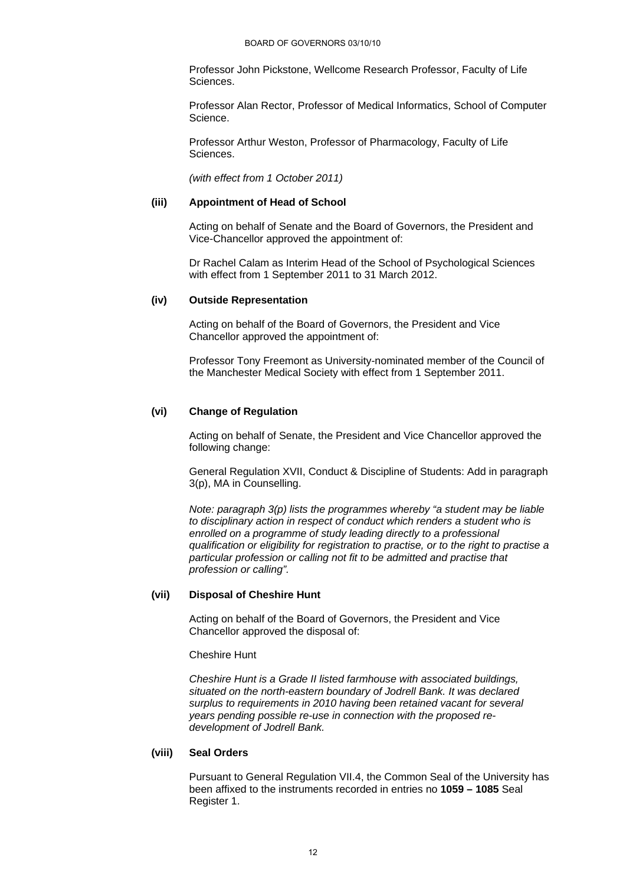Professor John Pickstone, Wellcome Research Professor, Faculty of Life Sciences.

Professor Alan Rector, Professor of Medical Informatics, School of Computer Science.

Professor Arthur Weston, Professor of Pharmacology, Faculty of Life Sciences.

*(with effect from 1 October 2011)* 

#### **(iii) Appointment of Head of School**

Acting on behalf of Senate and the Board of Governors, the President and Vice-Chancellor approved the appointment of:

Dr Rachel Calam as Interim Head of the School of Psychological Sciences with effect from 1 September 2011 to 31 March 2012.

#### **(iv) Outside Representation**

Acting on behalf of the Board of Governors, the President and Vice Chancellor approved the appointment of:

Professor Tony Freemont as University-nominated member of the Council of the Manchester Medical Society with effect from 1 September 2011.

# **(vi) Change of Regulation**

Acting on behalf of Senate, the President and Vice Chancellor approved the following change:

General Regulation XVII, Conduct & Discipline of Students: Add in paragraph 3(p), MA in Counselling.

*Note: paragraph 3(p) lists the programmes whereby "a student may be liable to disciplinary action in respect of conduct which renders a student who is enrolled on a programme of study leading directly to a professional qualification or eligibility for registration to practise, or to the right to practise a particular profession or calling not fit to be admitted and practise that profession or calling".* 

### **(vii) Disposal of Cheshire Hunt**

Acting on behalf of the Board of Governors, the President and Vice Chancellor approved the disposal of:

Cheshire Hunt

*Cheshire Hunt is a Grade II listed farmhouse with associated buildings, situated on the north-eastern boundary of Jodrell Bank. It was declared surplus to requirements in 2010 having been retained vacant for several years pending possible re-use in connection with the proposed redevelopment of Jodrell Bank.* 

# **(viii) Seal Orders**

Pursuant to General Regulation VII.4, the Common Seal of the University has been affixed to the instruments recorded in entries no **1059 – 1085** Seal Register 1.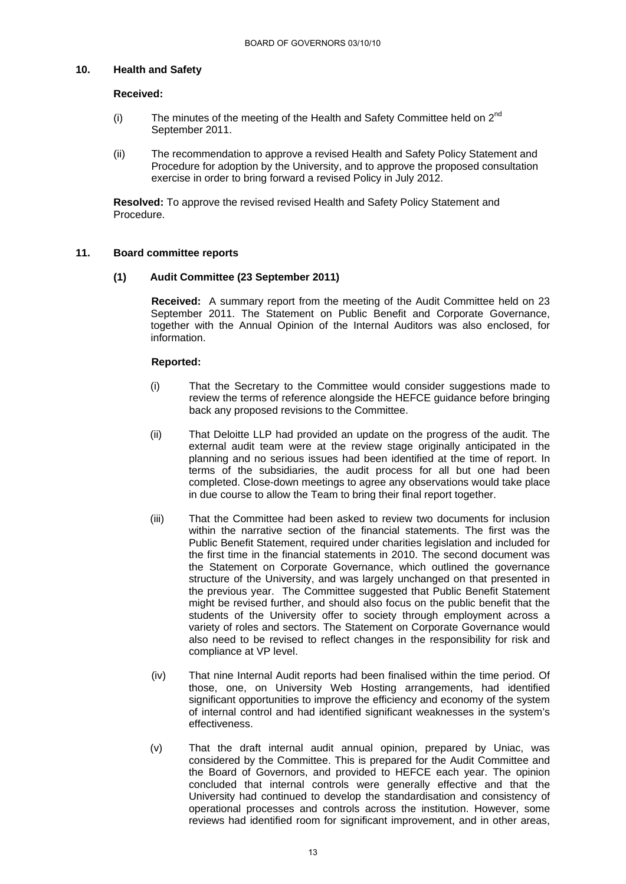### **10. Health and Safety**

### **Received:**

- (i) The minutes of the meeting of the Health and Safety Committee held on  $2^{nd}$ September 2011.
- (ii) The recommendation to approve a revised Health and Safety Policy Statement and Procedure for adoption by the University, and to approve the proposed consultation exercise in order to bring forward a revised Policy in July 2012.

**Resolved:** To approve the revised revised Health and Safety Policy Statement and Procedure.

# **11. Board committee reports**

# **(1) Audit Committee (23 September 2011)**

 **Received:** A summary report from the meeting of the Audit Committee held on 23 September 2011. The Statement on Public Benefit and Corporate Governance, together with the Annual Opinion of the Internal Auditors was also enclosed, for information.

- (i) That the Secretary to the Committee would consider suggestions made to review the terms of reference alongside the HEFCE guidance before bringing back any proposed revisions to the Committee.
- (ii) That Deloitte LLP had provided an update on the progress of the audit. The external audit team were at the review stage originally anticipated in the planning and no serious issues had been identified at the time of report. In terms of the subsidiaries, the audit process for all but one had been completed. Close-down meetings to agree any observations would take place in due course to allow the Team to bring their final report together.
- (iii) That the Committee had been asked to review two documents for inclusion within the narrative section of the financial statements. The first was the Public Benefit Statement, required under charities legislation and included for the first time in the financial statements in 2010. The second document was the Statement on Corporate Governance, which outlined the governance structure of the University, and was largely unchanged on that presented in the previous year. The Committee suggested that Public Benefit Statement might be revised further, and should also focus on the public benefit that the students of the University offer to society through employment across a variety of roles and sectors. The Statement on Corporate Governance would also need to be revised to reflect changes in the responsibility for risk and compliance at VP level.
- (iv) That nine Internal Audit reports had been finalised within the time period. Of those, one, on University Web Hosting arrangements, had identified significant opportunities to improve the efficiency and economy of the system of internal control and had identified significant weaknesses in the system's effectiveness.
- (v) That the draft internal audit annual opinion, prepared by Uniac, was considered by the Committee. This is prepared for the Audit Committee and the Board of Governors, and provided to HEFCE each year. The opinion concluded that internal controls were generally effective and that the University had continued to develop the standardisation and consistency of operational processes and controls across the institution. However, some reviews had identified room for significant improvement, and in other areas,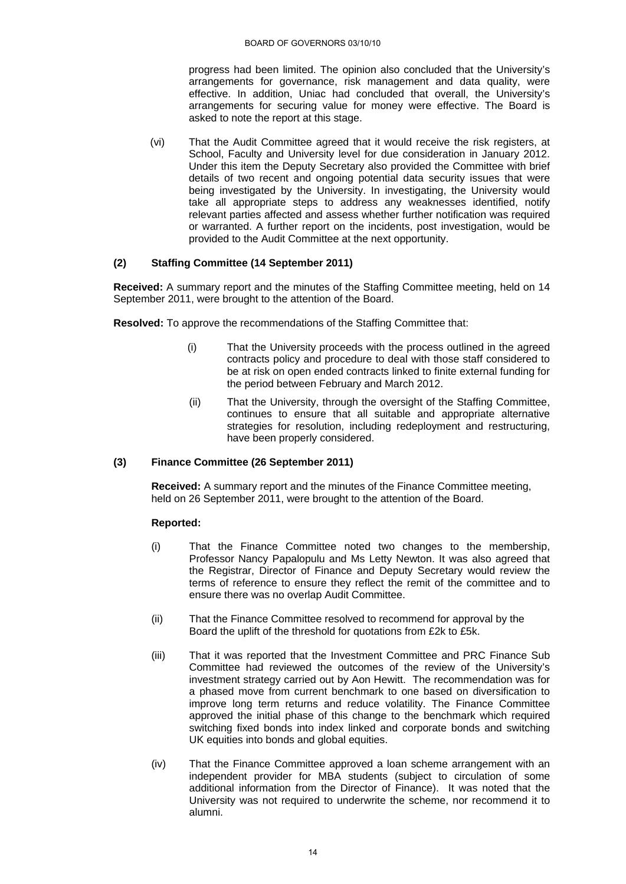progress had been limited. The opinion also concluded that the University's arrangements for governance, risk management and data quality, were effective. In addition, Uniac had concluded that overall, the University's arrangements for securing value for money were effective. The Board is asked to note the report at this stage.

(vi) That the Audit Committee agreed that it would receive the risk registers, at School, Faculty and University level for due consideration in January 2012. Under this item the Deputy Secretary also provided the Committee with brief details of two recent and ongoing potential data security issues that were being investigated by the University. In investigating, the University would take all appropriate steps to address any weaknesses identified, notify relevant parties affected and assess whether further notification was required or warranted. A further report on the incidents, post investigation, would be provided to the Audit Committee at the next opportunity.

# **(2) Staffing Committee (14 September 2011)**

**Received:** A summary report and the minutes of the Staffing Committee meeting, held on 14 September 2011, were brought to the attention of the Board.

 **Resolved:** To approve the recommendations of the Staffing Committee that:

- (i) That the University proceeds with the process outlined in the agreed contracts policy and procedure to deal with those staff considered to be at risk on open ended contracts linked to finite external funding for the period between February and March 2012.
- (ii) That the University, through the oversight of the Staffing Committee, continues to ensure that all suitable and appropriate alternative strategies for resolution, including redeployment and restructuring, have been properly considered.

### **(3) Finance Committee (26 September 2011)**

**Received:** A summary report and the minutes of the Finance Committee meeting, held on 26 September 2011, were brought to the attention of the Board.

- (i) That the Finance Committee noted two changes to the membership, Professor Nancy Papalopulu and Ms Letty Newton. It was also agreed that the Registrar, Director of Finance and Deputy Secretary would review the terms of reference to ensure they reflect the remit of the committee and to ensure there was no overlap Audit Committee.
- (ii) That the Finance Committee resolved to recommend for approval by the Board the uplift of the threshold for quotations from £2k to £5k.
- (iii) That it was reported that the Investment Committee and PRC Finance Sub Committee had reviewed the outcomes of the review of the University's investment strategy carried out by Aon Hewitt. The recommendation was for a phased move from current benchmark to one based on diversification to improve long term returns and reduce volatility. The Finance Committee approved the initial phase of this change to the benchmark which required switching fixed bonds into index linked and corporate bonds and switching UK equities into bonds and global equities.
- (iv) That the Finance Committee approved a loan scheme arrangement with an independent provider for MBA students (subject to circulation of some additional information from the Director of Finance). It was noted that the University was not required to underwrite the scheme, nor recommend it to alumni.